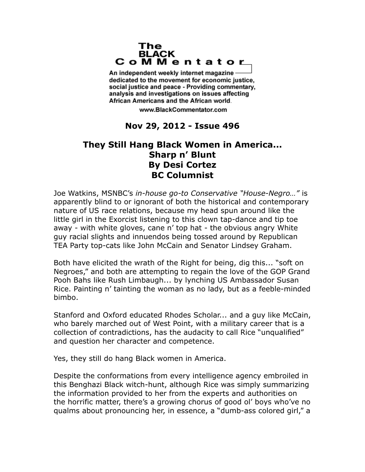## The **BLACK** CoMMentator

An independent weekly internet magazine dedicated to the movement for economic justice. social justice and peace - Providing commentary, analysis and investigations on issues affecting African Americans and the African world.

www.BlackCommentator.com

## **Nov 29, 2012 - Issue 496**

## **They Still Hang Black Women in America... Sharp n' Blunt By Desi Cortez BC Columnist**

Joe Watkins, MSNBC's *in-house go-to Conservative "House-Negro…"* is apparently blind to or ignorant of both the historical and contemporary nature of US race relations, because my head spun around like the little girl in the Exorcist listening to this clown tap-dance and tip toe away - with white gloves, cane n' top hat - the obvious angry White guy racial slights and innuendos being tossed around by Republican TEA Party top-cats like John McCain and Senator Lindsey Graham.

Both have elicited the wrath of the Right for being, dig this... "soft on Negroes," and both are attempting to regain the love of the GOP Grand Pooh Bahs like Rush Limbaugh... by lynching US Ambassador Susan Rice. Painting n' tainting the woman as no lady, but as a feeble-minded bimbo.

Stanford and Oxford educated Rhodes Scholar... and a guy like McCain, who barely marched out of West Point, with a military career that is a collection of contradictions, has the audacity to call Rice "unqualified" and question her character and competence.

Yes, they still do hang Black women in America.

Despite the conformations from every intelligence agency embroiled in this Benghazi Black witch-hunt, although Rice was simply summarizing the information provided to her from the experts and authorities on the horrific matter, there's a growing chorus of good ol' boys who've no qualms about pronouncing her, in essence, a "dumb-ass colored girl," a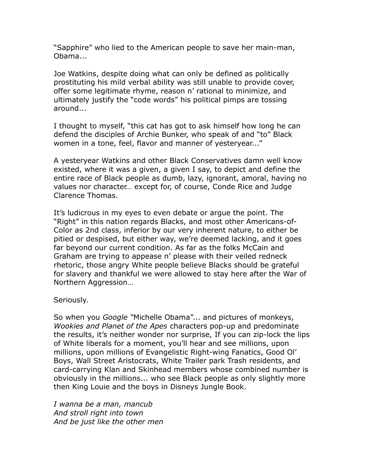"Sapphire" who lied to the American people to save her main-man, Obama...

Joe Watkins, despite doing what can only be defined as politically prostituting his mild verbal ability was still unable to provide cover, offer some legitimate rhyme, reason n' rational to minimize, and ultimately justify the "code words" his political pimps are tossing around...

I thought to myself, "this cat has got to ask himself how long he can defend the disciples of Archie Bunker, who speak of and "to" Black women in a tone, feel, flavor and manner of yesteryear..."

A yesteryear Watkins and other Black Conservatives damn well know existed, where it was a given, a given I say, to depict and define the entire race of Black people as dumb, lazy, ignorant, amoral, having no values nor character… except for, of course, Conde Rice and Judge Clarence Thomas.

It's ludicrous in my eyes to even debate or argue the point. The "Right" in this nation regards Blacks, and most other Americans-of-Color as 2nd class, inferior by our very inherent nature, to either be pitied or despised, but either way, we're deemed lacking, and it goes far beyond our current condition. As far as the folks McCain and Graham are trying to appease n' please with their veiled redneck rhetoric, those angry White people believe Blacks should be grateful for slavery and thankful we were allowed to stay here after the War of Northern Aggression…

Seriously.

So when you *Google "*Michelle Obama"... and pictures of monkeys, *Wookies and Planet of the Apes* characters pop-up and predominate the results, it's neither wonder nor surprise, If you can zip-lock the lips of White liberals for a moment, you'll hear and see millions, upon millions, upon millions of Evangelistic Right-wing Fanatics, Good Ol' Boys, Wall Street Aristocrats, White Trailer park Trash residents, and card-carrying Klan and Skinhead members whose combined number is obviously in the millions... who see Black people as only slightly more then King Louie and the boys in Disneys Jungle Book.

*I wanna be a man, mancub And stroll right into town And be just like the other men*